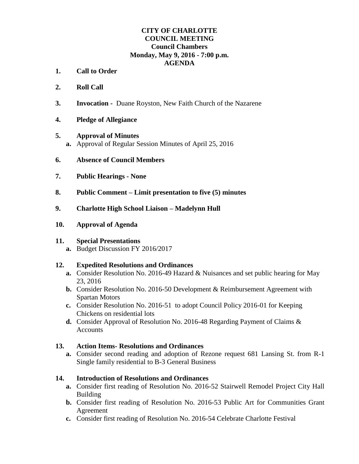#### **CITY OF CHARLOTTE COUNCIL MEETING Council Chambers Monday, May 9, 2016 - 7:00 p.m. AGENDA**

- **1. Call to Order**
- **2. Roll Call**
- **3. Invocation** Duane Royston, New Faith Church of the Nazarene
- **4. Pledge of Allegiance**

#### **5. Approval of Minutes**

- **a.** Approval of Regular Session Minutes of April 25, 2016
- **6. Absence of Council Members**
- **7. Public Hearings - None**
- **8. Public Comment – Limit presentation to five (5) minutes**
- **9. Charlotte High School Liaison – Madelynn Hull**
- **10. Approval of Agenda**

#### **11. Special Presentations**

**a.** Budget Discussion FY 2016/2017

### **12. Expedited Resolutions and Ordinances**

- **a.** Consider Resolution No. 2016-49 Hazard & Nuisances and set public hearing for May 23, 2016
- **b.** Consider Resolution No. 2016-50 Development & Reimbursement Agreement with Spartan Motors
- **c.** Consider Resolution No. 2016-51 to adopt Council Policy 2016-01 for Keeping Chickens on residential lots
- **d.** Consider Approval of Resolution No. 2016-48 Regarding Payment of Claims & Accounts

### **13. Action Items- Resolutions and Ordinances**

**a.** Consider second reading and adoption of Rezone request 681 Lansing St. from R-1 Single family residential to B-3 General Business

### **14. Introduction of Resolutions and Ordinances**

- **a.** Consider first reading of Resolution No. 2016-52 Stairwell Remodel Project City Hall Building
- **b.** Consider first reading of Resolution No. 2016-53 Public Art for Communities Grant Agreement
- **c.** Consider first reading of Resolution No. 2016-54 Celebrate Charlotte Festival